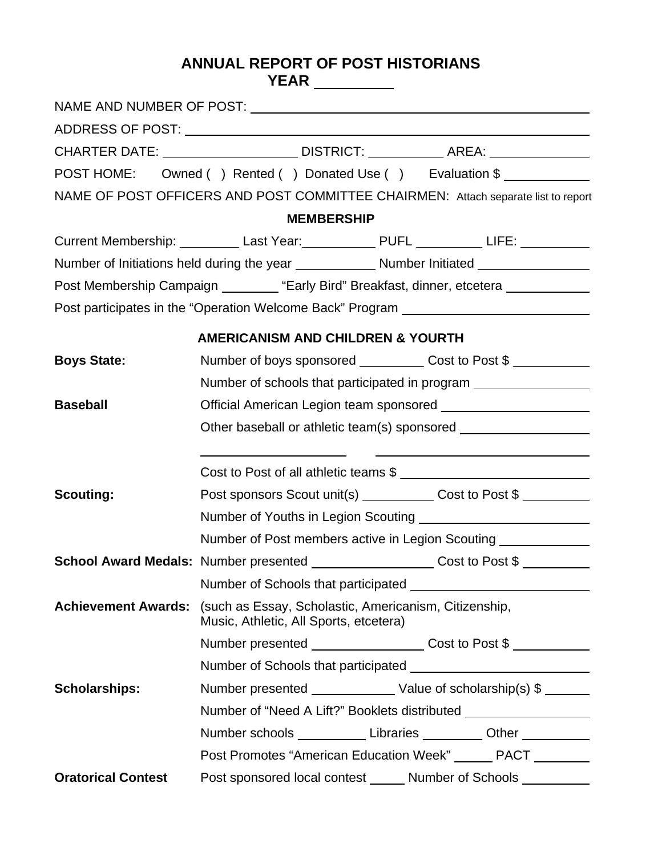# **ANNUAL REPORT OF POST HISTORIANS YEAR**

|                           | CHARTER DATE: ___________________________DISTRICT: ______________________________                                   |  |  |
|---------------------------|---------------------------------------------------------------------------------------------------------------------|--|--|
|                           | POST HOME: Owned () Rented () Donated Use () Evaluation \$                                                          |  |  |
|                           | NAME OF POST OFFICERS AND POST COMMITTEE CHAIRMEN: Attach separate list to report                                   |  |  |
|                           | <b>MEMBERSHIP</b>                                                                                                   |  |  |
|                           | Current Membership: Last Year: PUFL ______________ LIFE: LIFE: _________________                                    |  |  |
|                           |                                                                                                                     |  |  |
|                           | Post Membership Campaign ________ "Early Bird" Breakfast, dinner, etcetera ___________                              |  |  |
|                           | Post participates in the "Operation Welcome Back" Program ______________________                                    |  |  |
|                           | <b>AMERICANISM AND CHILDREN &amp; YOURTH</b>                                                                        |  |  |
| <b>Boys State:</b>        | Number of boys sponsored ____________Cost to Post \$                                                                |  |  |
|                           | Number of schools that participated in program ___________________                                                  |  |  |
| <b>Baseball</b>           | Official American Legion team sponsored ________________________                                                    |  |  |
|                           | Other baseball or athletic team(s) sponsored ___________________________________                                    |  |  |
|                           |                                                                                                                     |  |  |
|                           | Cost to Post of all athletic teams \$                                                                               |  |  |
| <b>Scouting:</b>          | Post sponsors Scout unit(s) ____________ Cost to Post \$                                                            |  |  |
|                           |                                                                                                                     |  |  |
|                           | Number of Post members active in Legion Scouting                                                                    |  |  |
|                           | School Award Medals: Number presented ____________________Cost to Post \$                                           |  |  |
|                           |                                                                                                                     |  |  |
|                           | Achievement Awards: (such as Essay, Scholastic, Americanism, Citizenship,<br>Music, Athletic, All Sports, etcetera) |  |  |
|                           | Number presented ___________________Cost to Post \$                                                                 |  |  |
|                           |                                                                                                                     |  |  |
| <b>Scholarships:</b>      | Number presented _________________ Value of scholarship(s) \$ _______                                               |  |  |
|                           | Number of "Need A Lift?" Booklets distributed __________________________________                                    |  |  |
|                           | Number schools _____________ Libraries __________ Other ___________                                                 |  |  |
|                           | Post Promotes "American Education Week" ______ PACT _______                                                         |  |  |
| <b>Oratorical Contest</b> | Post sponsored local contest ______ Number of Schools __________                                                    |  |  |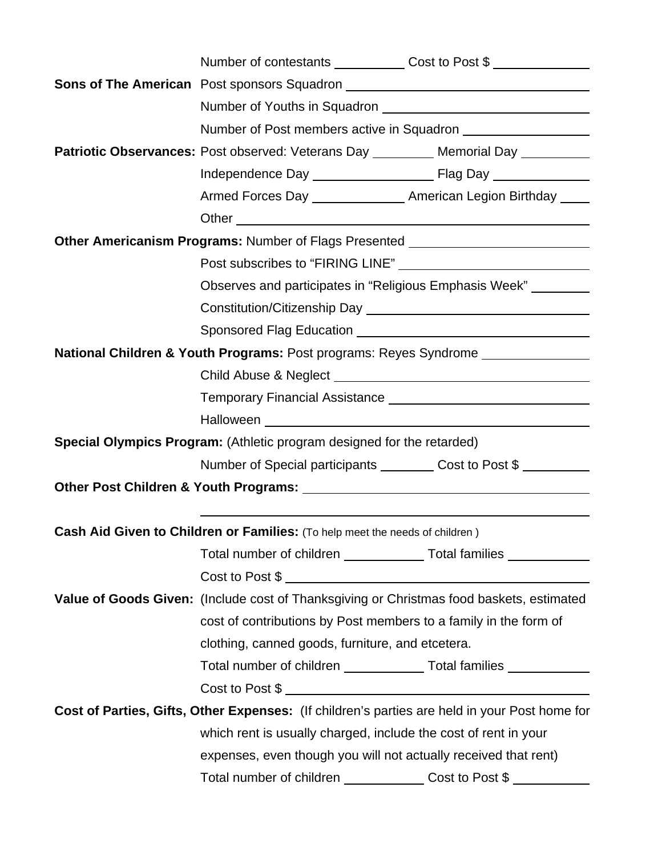| Patriotic Observances: Post observed: Veterans Day ________ Memorial Day ________             |  |  |  |
|-----------------------------------------------------------------------------------------------|--|--|--|
|                                                                                               |  |  |  |
| Armed Forces Day ________________ American Legion Birthday ____                               |  |  |  |
|                                                                                               |  |  |  |
| Other Americanism Programs: Number of Flags Presented __________________________              |  |  |  |
|                                                                                               |  |  |  |
| Observes and participates in "Religious Emphasis Week" ________                               |  |  |  |
|                                                                                               |  |  |  |
|                                                                                               |  |  |  |
| National Children & Youth Programs: Post programs: Reyes Syndrome ______________              |  |  |  |
|                                                                                               |  |  |  |
|                                                                                               |  |  |  |
|                                                                                               |  |  |  |
| Special Olympics Program: (Athletic program designed for the retarded)                        |  |  |  |
| Number of Special participants __________ Cost to Post \$                                     |  |  |  |
|                                                                                               |  |  |  |
|                                                                                               |  |  |  |
| <b>Cash Aid Given to Children or Families:</b> (To help meet the needs of children)           |  |  |  |
| Total number of children _______________ Total families _____________                         |  |  |  |
|                                                                                               |  |  |  |
| Value of Goods Given: (Include cost of Thanksgiving or Christmas food baskets, estimated      |  |  |  |
| cost of contributions by Post members to a family in the form of                              |  |  |  |
| clothing, canned goods, furniture, and etcetera.                                              |  |  |  |
| Total number of children Total families                                                       |  |  |  |
| Cost to Post \$                                                                               |  |  |  |
| Cost of Parties, Gifts, Other Expenses: (If children's parties are held in your Post home for |  |  |  |
| which rent is usually charged, include the cost of rent in your                               |  |  |  |
| expenses, even though you will not actually received that rent)                               |  |  |  |
| Total number of children ______________Cost to Post \$                                        |  |  |  |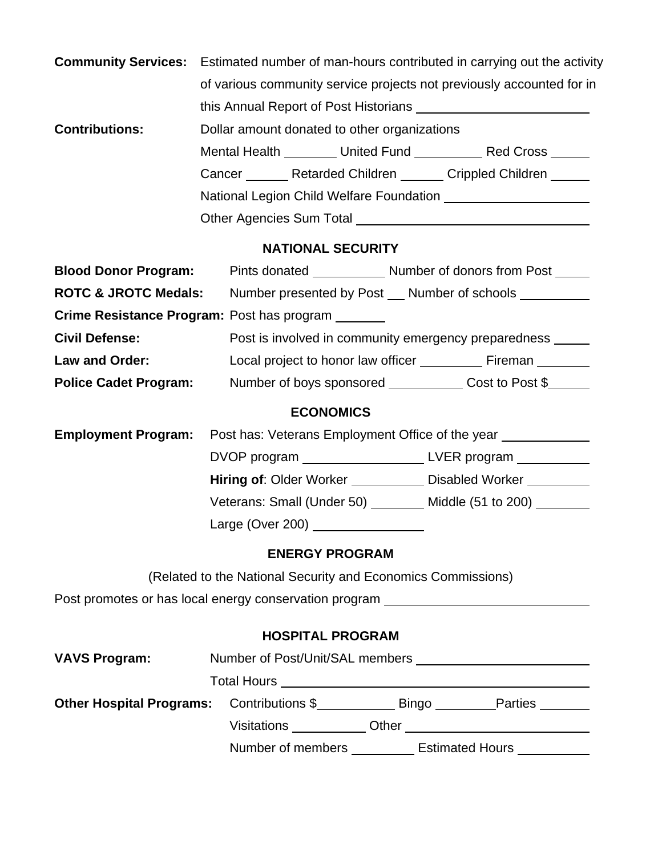| <b>Community Services:</b>                 | Estimated number of man-hours contributed in carrying out the activity                                        |  |  |  |  |
|--------------------------------------------|---------------------------------------------------------------------------------------------------------------|--|--|--|--|
|                                            | of various community service projects not previously accounted for in                                         |  |  |  |  |
|                                            |                                                                                                               |  |  |  |  |
| <b>Contributions:</b>                      | Dollar amount donated to other organizations                                                                  |  |  |  |  |
|                                            |                                                                                                               |  |  |  |  |
|                                            | Cancer ________ Retarded Children _______ Crippled Children ______                                            |  |  |  |  |
|                                            |                                                                                                               |  |  |  |  |
|                                            |                                                                                                               |  |  |  |  |
| <b>NATIONAL SECURITY</b>                   |                                                                                                               |  |  |  |  |
| <b>Blood Donor Program:</b>                |                                                                                                               |  |  |  |  |
| <b>ROTC &amp; JROTC Medals:</b>            | Number presented by Post __ Number of schools ________                                                        |  |  |  |  |
| Crime Resistance Program: Post has program |                                                                                                               |  |  |  |  |
| <b>Civil Defense:</b>                      | Post is involved in community emergency preparedness ______                                                   |  |  |  |  |
| Law and Order:                             | Local project to honor law officer ____________ Fireman ________                                              |  |  |  |  |
| <b>Police Cadet Program:</b>               | Number of boys sponsored ______________ Cost to Post \$_______                                                |  |  |  |  |
|                                            | <b>ECONOMICS</b>                                                                                              |  |  |  |  |
| <b>Employment Program:</b>                 | Post has: Veterans Employment Office of the year _______________________________                              |  |  |  |  |
|                                            | DVOP program _________________________LVER program ____________                                               |  |  |  |  |
|                                            | Hiring of: Older Worker _____________ Disabled Worker _________                                               |  |  |  |  |
|                                            | Veterans: Small (Under 50) ________ Middle (51 to 200) _______                                                |  |  |  |  |
|                                            | Large (Over 200) 2000 2000 2010 2021 2022 2023 2024 2022 2023 2024 2022 2023 2024 2022 2023 2024 2025 2026 20 |  |  |  |  |
|                                            | <b>ENERGY PROGRAM</b>                                                                                         |  |  |  |  |
|                                            | (Related to the National Security and Economics Commissions)                                                  |  |  |  |  |
|                                            | Post promotes or has local energy conservation program _________________________                              |  |  |  |  |
|                                            | <b>HOSPITAL PROGRAM</b>                                                                                       |  |  |  |  |
| <b>VAVS Program:</b>                       |                                                                                                               |  |  |  |  |
|                                            |                                                                                                               |  |  |  |  |
| <b>Other Hospital Programs:</b>            | Contributions \$________________ Bingo ___________Parties ________                                            |  |  |  |  |
|                                            |                                                                                                               |  |  |  |  |
|                                            | Number of members ___________ Estimated Hours ___________                                                     |  |  |  |  |